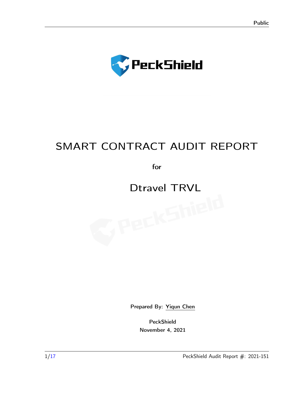

## SMART CONTRACT AUDIT REPORT

for

# Dtravel TRVL<br>Experience of the state of the state of the state of the state of the state of the state of the state of the state of the state of the state of the state of the state of the state of the state of the state of

Prepared By: [Yiqun Chen](sxwang@peckshield.com)

PeckShield November 4, 2021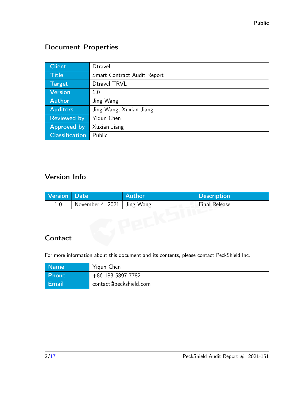## Document Properties

| <b>Client</b>         | <b>Dtravel</b>              |
|-----------------------|-----------------------------|
| <b>Title</b>          | Smart Contract Audit Report |
| <b>Target</b>         | Dtravel TRVL                |
| <b>Version</b>        | 1.0                         |
| <b>Author</b>         | Jing Wang                   |
| <b>Auditors</b>       | Jing Wang, Xuxian Jiang     |
| <b>Reviewed by</b>    | Yigun Chen                  |
| Approved by           | Xuxian Jiang                |
| <b>Classification</b> | Public                      |

### Version Info

| <b>Version</b>  | <b>Date</b>      | <b>Author</b> | <b>Description</b>   |
|-----------------|------------------|---------------|----------------------|
| 1.0             | November 4, 2021 | Jing Wang     | <b>Final Release</b> |
|                 |                  |               |                      |
|                 |                  |               |                      |
|                 |                  |               |                      |
| $\Gamma$ ontact |                  |               |                      |

## **Contact**

For more information about this document and its contents, please contact PeckShield Inc.

| <b>Name</b> | Yigun Chen               |
|-------------|--------------------------|
| Phone       | +86 183 5897 7782        |
| Email       | ` contact@peckshield.com |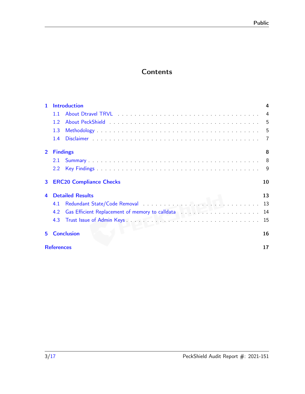## **Contents**

| 1              | <b>Introduction</b>                                                                | 4   |  |
|----------------|------------------------------------------------------------------------------------|-----|--|
|                | 11                                                                                 | 4   |  |
|                | 1.2                                                                                |     |  |
|                | 1.3                                                                                |     |  |
|                | 1.4                                                                                |     |  |
| $\overline{2}$ | <b>Findings</b>                                                                    | 8   |  |
|                | 2.1                                                                                |     |  |
|                | 2.2                                                                                | 9   |  |
| 3              | <b>ERC20 Compliance Checks</b>                                                     | 10  |  |
| 4              | <b>Detailed Results</b>                                                            | 13  |  |
|                | 4.1                                                                                |     |  |
|                | Gas Efficient Replacement of memory to calldata Marine Marine Marine and 14<br>4.2 |     |  |
|                | 4.3                                                                                | -15 |  |
| 5.             | <b>Conclusion</b>                                                                  | 16  |  |
|                | <b>References</b><br>17                                                            |     |  |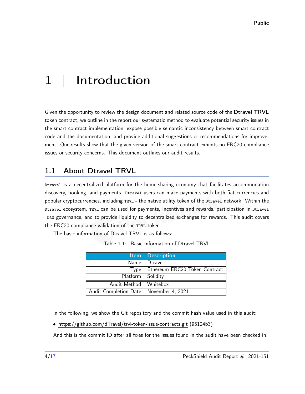# <span id="page-3-0"></span>1 | Introduction

Given the opportunity to review the design document and related source code of the Dtravel TRVL token contract, we outline in the report our systematic method to evaluate potential security issues in the smart contract implementation, expose possible semantic inconsistency between smart contract code and the documentation, and provide additional suggestions or recommendations for improvement. Our results show that the given version of the smart contract exhibits no ERC20 compliance issues or security concerns. This document outlines our audit results.

#### <span id="page-3-1"></span>1.1 About Dtravel TRVL

Dtravel is a decentralized platform for the home-sharing economy that facilitates accommodation discovery, booking, and payments. Dtravel users can make payments with both fiat currencies and popular cryptocurrencies, including TRVL - the native utility token of the Dtravel network. Within the Dtravel ecosystem, TRVL can be used for payments, incentives and rewards, participation in Dtravel DAO governance, and to provide liquidity to decentralized exchanges for rewards. This audit covers the ERC20-compliance validation of the TRVL token.

The basic information of Dtravel TRVL is as follows:

| Item                  | <b>Description</b>            |
|-----------------------|-------------------------------|
| Name 1                | Dtravel                       |
| Type                  | Ethereum ERC20 Token Contract |
| Platform              | Solidity                      |
| Audit Method          | Whitebox                      |
| Audit Completion Date | November 4, 2021              |

In the following, we show the Git repository and the commit hash value used in this audit:

• https://github.com/dTravel/trvl-token-issue-contracts.git (95124b3)

And this is the commit ID after all fixes for the issues found in the audit have been checked in: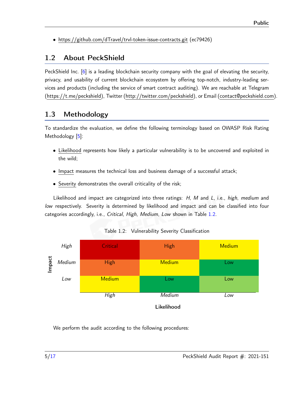• https://github.com/dTravel/trvl-token-issue-contracts.git (ec79426)

## <span id="page-4-0"></span>1.2 About PeckShield

PeckShield Inc. [\[6\]](#page-16-2) is a leading blockchain security company with the goal of elevating the security, privacy, and usability of current blockchain ecosystem by offering top-notch, industry-leading services and products (including the service of smart contract auditing). We are reachable at Telegram [\(https://t.me/peckshield\)](https://t.me/peckshield), Twitter [\(http://twitter.com/peckshield\)](http://twitter.com/peckshield), or Email [\(contact@peckshield.com\)](contact@peckshield.com).

## <span id="page-4-1"></span>1.3 Methodology

To standardize the evaluation, we define the following terminology based on OWASP Risk Rating Methodology [\[5\]](#page-16-3):

- Likelihood represents how likely a particular vulnerability is to be uncovered and exploited in the wild;
- Impact measures the technical loss and business damage of a successful attack;
- Severity demonstrates the overall criticality of the risk;

Likelihood and impact are categorized into three ratings: H, M and L, i.e., high, medium and low respectively. Severity is determined by likelihood and impact and can be classified into four categories accordingly, i.e., Critical, High, Medium, Low shown in Table [1.2.](#page-4-2)

<span id="page-4-2"></span>

#### Table 1.2: Vulnerability Severity Classification

We perform the audit according to the following procedures: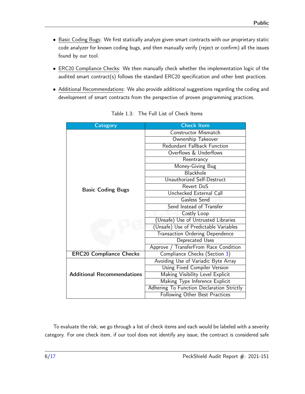- Basic Coding Bugs: We first statically analyze given smart contracts with our proprietary static code analyzer for known coding bugs, and then manually verify (reject or confirm) all the issues found by our tool.
- ERC20 Compliance Checks: We then manually check whether the implementation logic of the audited smart contract(s) follows the standard ERC20 specification and other best practices.
- <span id="page-5-0"></span>• Additional Recommendations: We also provide additional suggestions regarding the coding and development of smart contracts from the perspective of proven programming practices.

| Category                                                                                                      | <b>Check Item</b>                                                                                                                                                                                                                                                                                                                                                                                                                              |
|---------------------------------------------------------------------------------------------------------------|------------------------------------------------------------------------------------------------------------------------------------------------------------------------------------------------------------------------------------------------------------------------------------------------------------------------------------------------------------------------------------------------------------------------------------------------|
|                                                                                                               | Constructor Mismatch                                                                                                                                                                                                                                                                                                                                                                                                                           |
|                                                                                                               | Ownership Takeover                                                                                                                                                                                                                                                                                                                                                                                                                             |
|                                                                                                               | Redundant Fallback Function                                                                                                                                                                                                                                                                                                                                                                                                                    |
|                                                                                                               | Overflows & Underflows                                                                                                                                                                                                                                                                                                                                                                                                                         |
|                                                                                                               | Reentrancy                                                                                                                                                                                                                                                                                                                                                                                                                                     |
| Money-Giving Bug<br><b>Blackhole</b><br>Revert DoS<br><b>Basic Coding Bugs</b><br>Gasless Send<br>Costly Loop |                                                                                                                                                                                                                                                                                                                                                                                                                                                |
|                                                                                                               |                                                                                                                                                                                                                                                                                                                                                                                                                                                |
|                                                                                                               |                                                                                                                                                                                                                                                                                                                                                                                                                                                |
|                                                                                                               | Unauthorized Self-Destruct<br>Unchecked External Call<br>Send Instead of Transfer<br>(Unsafe) Use of Untrusted Libraries<br>(Unsafe) Use of Predictable Variables<br><b>Transaction Ordering Dependence</b><br>Deprecated Uses<br>Compliance Checks (Section 3)<br>Avoiding Use of Variadic Byte Array<br>Using Fixed Compiler Version<br>Making Visibility Level Explicit<br>Making Type Inference Explicit<br>Following Other Best Practices |
|                                                                                                               |                                                                                                                                                                                                                                                                                                                                                                                                                                                |
|                                                                                                               |                                                                                                                                                                                                                                                                                                                                                                                                                                                |
|                                                                                                               |                                                                                                                                                                                                                                                                                                                                                                                                                                                |
|                                                                                                               |                                                                                                                                                                                                                                                                                                                                                                                                                                                |
|                                                                                                               |                                                                                                                                                                                                                                                                                                                                                                                                                                                |
|                                                                                                               |                                                                                                                                                                                                                                                                                                                                                                                                                                                |
|                                                                                                               |                                                                                                                                                                                                                                                                                                                                                                                                                                                |
|                                                                                                               |                                                                                                                                                                                                                                                                                                                                                                                                                                                |
|                                                                                                               | Approve / TransferFrom Race Condition                                                                                                                                                                                                                                                                                                                                                                                                          |
| <b>ERC20 Compliance Checks</b>                                                                                |                                                                                                                                                                                                                                                                                                                                                                                                                                                |
|                                                                                                               |                                                                                                                                                                                                                                                                                                                                                                                                                                                |
|                                                                                                               |                                                                                                                                                                                                                                                                                                                                                                                                                                                |
| <b>Additional Recommendations</b>                                                                             |                                                                                                                                                                                                                                                                                                                                                                                                                                                |
|                                                                                                               |                                                                                                                                                                                                                                                                                                                                                                                                                                                |
|                                                                                                               | Adhering To Function Declaration Strictly                                                                                                                                                                                                                                                                                                                                                                                                      |
|                                                                                                               |                                                                                                                                                                                                                                                                                                                                                                                                                                                |

Table 1.3: The Full List of Check Items

To evaluate the risk, we go through a list of check items and each would be labeled with a severity category. For one check item, if our tool does not identify any issue, the contract is considered safe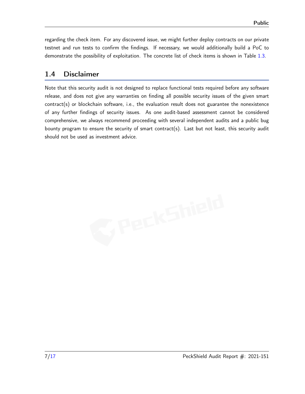regarding the check item. For any discovered issue, we might further deploy contracts on our private testnet and run tests to confirm the findings. If necessary, we would additionally build a PoC to demonstrate the possibility of exploitation. The concrete list of check items is shown in Table [1.3.](#page-5-0)

#### <span id="page-6-0"></span>1.4 Disclaimer

Note that this security audit is not designed to replace functional tests required before any software release, and does not give any warranties on finding all possible security issues of the given smart contract(s) or blockchain software, i.e., the evaluation result does not guarantee the nonexistence of any further findings of security issues. As one audit-based assessment cannot be considered comprehensive, we always recommend proceeding with several independent audits and a public bug bounty program to ensure the security of smart contract(s). Last but not least, this security audit should not be used as investment advice.

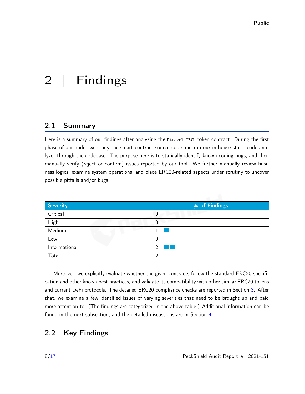# <span id="page-7-0"></span>2 | Findings

#### <span id="page-7-1"></span>2.1 Summary

Here is a summary of our findings after analyzing the Dtravel TRVL token contract. During the first phase of our audit, we study the smart contract source code and run our in-house static code analyzer through the codebase. The purpose here is to statically identify known coding bugs, and then manually verify (reject or confirm) issues reported by our tool. We further manually review business logics, examine system operations, and place ERC20-related aspects under scrutiny to uncover possible pitfalls and/or bugs.

| <b>Severity</b> | $#$ of Findings |
|-----------------|-----------------|
| Critical        | $\Omega$        |
| High            | 0               |
| Medium          |                 |
| Low             | 0               |
| Informational   | ာ               |
| Total           | - 2             |

Moreover, we explicitly evaluate whether the given contracts follow the standard ERC20 specification and other known best practices, and validate its compatibility with other similar ERC20 tokens and current DeFi protocols. The detailed ERC20 compliance checks are reported in Section [3.](#page-9-0) After that, we examine a few identified issues of varying severities that need to be brought up and paid more attention to. (The findings are categorized in the above table.) Additional information can be found in the next subsection, and the detailed discussions are in Section [4.](#page-12-0)

#### <span id="page-7-2"></span>2.2 Key Findings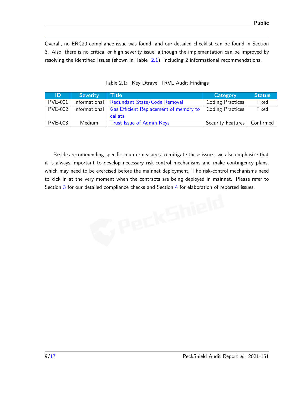Overall, no ERC20 compliance issue was found, and our detailed checklist can be found in Section 3. Also, there is no critical or high severity issue, although the implementation can be improved by resolving the identified issues (shown in Table [2.1\)](#page-8-0), including 2 informational recommendations.

<span id="page-8-0"></span>

| ID             | <b>Severity</b> | <b>Title</b>                                             | Category                | <b>Status</b> |
|----------------|-----------------|----------------------------------------------------------|-------------------------|---------------|
| <b>PVE-001</b> |                 | Informational   Redundant State/Code Removal             | <b>Coding Practices</b> | Fixed         |
| <b>PVE-002</b> | Informational   | <b>Gas Efficient Replacement of memory to</b><br>callata | <b>Coding Practices</b> | Fixed         |
| <b>PVE-003</b> | Medium          | Trust Issue of Admin Keys                                | Security Features       | Confirmed     |

Table 2.1: Key Dtravel TRVL Audit Findings

Besides recommending specific countermeasures to mitigate these issues, we also emphasize that it is always important to develop necessary risk-control mechanisms and make contingency plans, which may need to be exercised before the mainnet deployment. The risk-control mechanisms need to kick in at the very moment when the contracts are being deployed in mainnet. Please refer to Section [3](#page-9-0) for our detailed compliance checks and Section [4](#page-12-0) for elaboration of reported issues.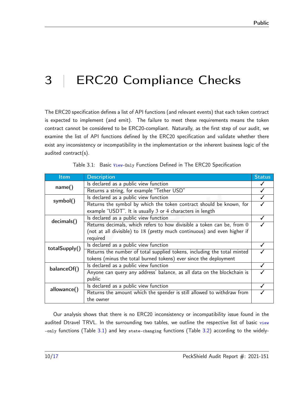# <span id="page-9-0"></span>3 | ERC20 Compliance Checks

The ERC20 specification defines a list of API functions (and relevant events) that each token contract is expected to implement (and emit). The failure to meet these requirements means the token contract cannot be considered to be ERC20-compliant. Naturally, as the first step of our audit, we examine the list of API functions defined by the ERC20 specification and validate whether there exist any inconsistency or incompatibility in the implementation or the inherent business logic of the audited contract(s).

<span id="page-9-1"></span>

| <b>Item</b>                           | <b>Description</b>                                                       | <b>Status</b> |
|---------------------------------------|--------------------------------------------------------------------------|---------------|
| name()                                | Is declared as a public view function                                    |               |
|                                       | Returns a string, for example "Tether USD"                               |               |
| Is declared as a public view function |                                                                          |               |
| symbol()                              | Returns the symbol by which the token contract should be known, for      |               |
|                                       | example "USDT". It is usually 3 or 4 characters in length                |               |
|                                       | Is declared as a public view function                                    |               |
| decimals()                            | Returns decimals, which refers to how divisible a token can be, from 0   |               |
|                                       | (not at all divisible) to 18 (pretty much continuous) and even higher if |               |
|                                       | required                                                                 |               |
| Is declared as a public view function |                                                                          |               |
| totalSupply()                         | Returns the number of total supplied tokens, including the total minted  |               |
|                                       | tokens (minus the total burned tokens) ever since the deployment         |               |
|                                       | Is declared as a public view function                                    |               |
| balanceOf()                           | Anyone can query any address' balance, as all data on the blockchain is  |               |
|                                       | public                                                                   |               |
|                                       | Is declared as a public view function                                    |               |
| allowance()                           | Returns the amount which the spender is still allowed to withdraw from   |               |
|                                       | the owner                                                                |               |

Table 3.1: Basic View-Only Functions Defined in The ERC20 Specification

Our analysis shows that there is no ERC20 inconsistency or incompatibility issue found in the audited Dtravel TRVL. In the surrounding two tables, we outline the respective list of basic view -only functions (Table [3.1\)](#page-9-1) and key state-changing functions (Table [3.2\)](#page-10-0) according to the widely-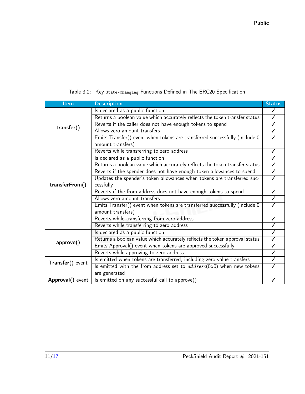<span id="page-10-0"></span>

| <b>Item</b>      | <b>Description</b>                                                           | <b>Status</b>           |
|------------------|------------------------------------------------------------------------------|-------------------------|
|                  | Is declared as a public function                                             | ✓                       |
|                  | Returns a boolean value which accurately reflects the token transfer status  | $\overline{\checkmark}$ |
|                  | Reverts if the caller does not have enough tokens to spend                   | ✓                       |
| transfer()       | Allows zero amount transfers                                                 | ✓                       |
|                  | Emits Transfer() event when tokens are transferred successfully (include 0   |                         |
|                  | amount transfers)                                                            |                         |
|                  | Reverts while transferring to zero address                                   |                         |
|                  | Is declared as a public function                                             | ✓                       |
|                  | Returns a boolean value which accurately reflects the token transfer status  | $\overline{\checkmark}$ |
|                  | Reverts if the spender does not have enough token allowances to spend        | ✓                       |
|                  | Updates the spender's token allowances when tokens are transferred suc-      |                         |
| transferFrom()   | cessfully                                                                    |                         |
|                  | Reverts if the from address does not have enough tokens to spend             |                         |
|                  | Allows zero amount transfers                                                 |                         |
|                  | Emits Transfer() event when tokens are transferred successfully (include 0   |                         |
|                  | amount transfers)                                                            |                         |
|                  | Reverts while transferring from zero address                                 | ✓                       |
|                  | Reverts while transferring to zero address                                   | ✓                       |
|                  | Is declared as a public function                                             | ✓                       |
|                  | Returns a boolean value which accurately reflects the token approval status  | ✓                       |
| approve()        | Emits Approval() event when tokens are approved successfully                 | ✓                       |
|                  | Reverts while approving to zero address                                      |                         |
|                  | Is emitted when tokens are transferred, including zero value transfers       |                         |
| Transfer() event | Is emitted with the from address set to <i>address</i> (0x0) when new tokens |                         |
|                  | are generated                                                                |                         |
| Approval() event | Is emitted on any successful call to approve()                               |                         |

Table 3.2: Key State-Changing Functions Defined in The ERC20 Specification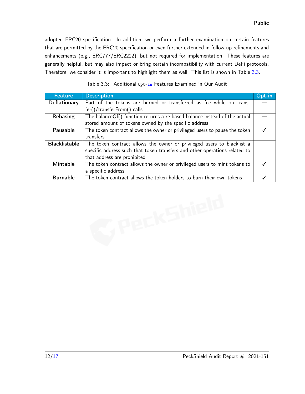adopted ERC20 specification. In addition, we perform a further examination on certain features that are permitted by the ERC20 specification or even further extended in follow-up refinements and enhancements (e.g., ERC777/ERC2222), but not required for implementation. These features are generally helpful, but may also impact or bring certain incompatibility with current DeFi protocols. Therefore, we consider it is important to highlight them as well. This list is shown in Table [3.3.](#page-11-0)

<span id="page-11-0"></span>

| <b>Feature</b>       | <b>Description</b>                                                         | Opt-in |
|----------------------|----------------------------------------------------------------------------|--------|
| Deflationary         | Part of the tokens are burned or transferred as fee while on trans-        |        |
|                      | fer() / transferFrom() calls                                               |        |
| <b>Rebasing</b>      | The balanceOf() function returns a re-based balance instead of the actual  |        |
|                      | stored amount of tokens owned by the specific address                      |        |
| Pausable             | The token contract allows the owner or privileged users to pause the token |        |
|                      | transfers                                                                  |        |
| <b>Blacklistable</b> | The token contract allows the owner or privileged users to blacklist a     |        |
|                      | specific address such that token transfers and other operations related to |        |
|                      | that address are prohibited                                                |        |
| <b>Mintable</b>      | The token contract allows the owner or privileged users to mint tokens to  |        |
|                      | a specific address                                                         |        |
| <b>Burnable</b>      | The token contract allows the token holders to burn their own tokens       |        |

|  | Table 3.3: Additional Opt-in Features Examined in Our Audit |  |  |  |  |  |  |
|--|-------------------------------------------------------------|--|--|--|--|--|--|
|--|-------------------------------------------------------------|--|--|--|--|--|--|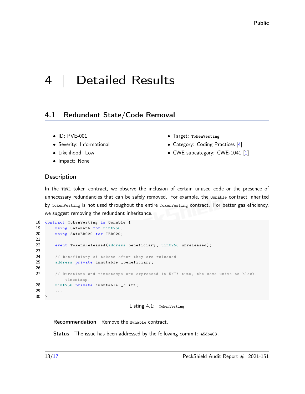## <span id="page-12-0"></span>4 | Detailed Results

#### <span id="page-12-1"></span>4.1 Redundant State/Code Removal

- ID: PVE-001
- Severity: Informational
- Likelihood: Low
- Impact: None
- Target: TokenVesting
- Category: Coding Practices [\[4\]](#page-16-4)
- CWE subcategory: CWE-1041 [\[1\]](#page-16-5)

#### **Description**

In the TRVL token contract, we observe the inclusion of certain unused code or the presence of unnecessary redundancies that can be safely removed. For example, the Ownable contract inherited by TokenVesting is not used throughout the entire TokenVesting contract. For better gas efficiency, we suggest removing the redundant inheritance.

```
18 contract TokenVesting is Ownable {
19 using SafeMath for uint256 ;
20 using SafeERC20 for IERC20 ;
21
22 event TokensReleased ( address beneficiary , uint256 unreleased );
23
24 // beneficiary of tokens after they are released
25 address private immutable _beneficiary ;
26
27 // Durations and timestamps are expressed in UNIX time, the same units as block.
           timestamp .
28 uint256 private immutable _cliff ;
2930 }
```
#### Listing 4.1: TokenVesting

Recommendation Remove the Ownable contract.

Status The issue has been addressed by the following commit: [45dbe03.](https://github.com/dTravel/trvl-token-issue-contracts/commit/45dbe03)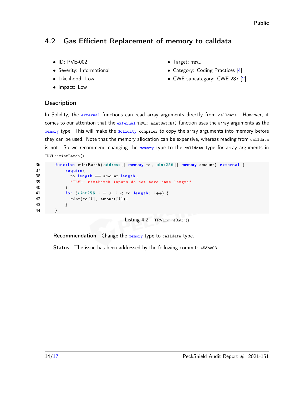### <span id="page-13-0"></span>4.2 Gas Efficient Replacement of memory to calldata

- ID: PVE-002
- Severity: Informational
- Likelihood: Low
- Impact: Low
- Target: TRVL
- Category: Coding Practices [\[4\]](#page-16-4)
- CWE subcategory: CWE-287 [\[2\]](#page-16-6)

#### **Description**

In Solidity, the external functions can read array arguments directly from calldata. However, it comes to our attention that the external TRVL::mintBatch() function uses the array arguments as the memory type. This will make the Solidity compiler to copy the array arguments into memory before they can be used. Note that the memory allocation can be expensive, whereas reading from calldata is not. So we recommend changing the **memory** type to the calldata type for array arguments in TRVL::mintBatch().

```
36 function mintBatch (address [] memory to, uint256 [] memory amount) external {
37 require (
38 to length = amount length,
39 " TRVL : mintBatch inputs do not have same length "
40 ) ;
41 for (uint 256 i = 0; i < to length; i++) {
42 mint (to [i], amount [i]);
43 }
44 }
```
Listing 4.2: TRVL::mintBatch()

Recommendation Change the memory type to calldata type.

Status The issue has been addressed by the following commit: [45dbe03.](https://github.com/dTravel/trvl-token-issue-contracts/commit/45dbe03)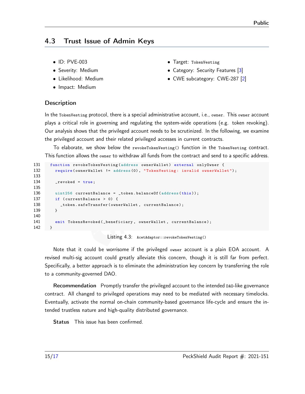#### <span id="page-14-0"></span>4.3 Trust Issue of Admin Keys

- ID: PVE-003
- Severity: Medium
- Likelihood: Medium
- Impact: Medium
- Target: TokenVesting
- Category: Security Features [\[3\]](#page-16-7)
- CWE subcategory: CWE-287 [\[2\]](#page-16-6)

#### **Description**

In the TokenVesting protocol, there is a special administrative account, i.e., owner. This owner account plays a critical role in governing and regulating the system-wide operations (e.g. token revoking). Our analysis shows that the privileged account needs to be scrutinized. In the following, we examine the privileged account and their related privileged accesses in current contracts.

To elaborate, we show below the revokeTokenVesting() function in the TokenVesting contract. This function allows the owner to withdraw all funds from the contract and send to a specific address.

```
131 function revokeTokenVesting (address ownerWallet) external onlyOwner {
132 require ( ownerWallet != address (0), "TokenVesting: invalid ownerWallet");
133
134 _ revoked = true;
135
136 uint256 currentBalance = _token.balanceOf(address(this));
137 if ( currentBalance > 0) {
138 Ltoken.safeTransfer ( ownerWallet, currentBalance);
139 }
140
141 emit TokensRevoked (_beneficiary, ownerWallet, currentBalance);
142 }
```
Listing 4.3: AcetAdaptor::revokeTokenVesting()

Note that it could be worrisome if the privileged owner account is a plain EOA account. A revised multi-sig account could greatly alleviate this concern, though it is still far from perfect. Specifically, a better approach is to eliminate the administration key concern by transferring the role to a community-governed DAO.

Recommendation Promptly transfer the privileged account to the intended DAO-like governance contract. All changed to privileged operations may need to be mediated with necessary timelocks. Eventually, activate the normal on-chain community-based governance life-cycle and ensure the intended trustless nature and high-quality distributed governance.

Status This issue has been confirmed.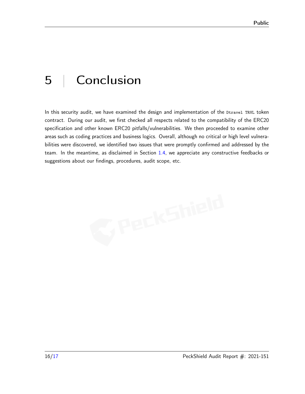# <span id="page-15-0"></span>5 | Conclusion

In this security audit, we have examined the design and implementation of the Dtravel TRVL token contract. During our audit, we first checked all respects related to the compatibility of the ERC20 specification and other known ERC20 pitfalls/vulnerabilities. We then proceeded to examine other areas such as coding practices and business logics. Overall, although no critical or high level vulnerabilities were discovered, we identified two issues that were promptly confirmed and addressed by the team. In the meantime, as disclaimed in Section [1.4,](#page-6-0) we appreciate any constructive feedbacks or suggestions about our findings, procedures, audit scope, etc.